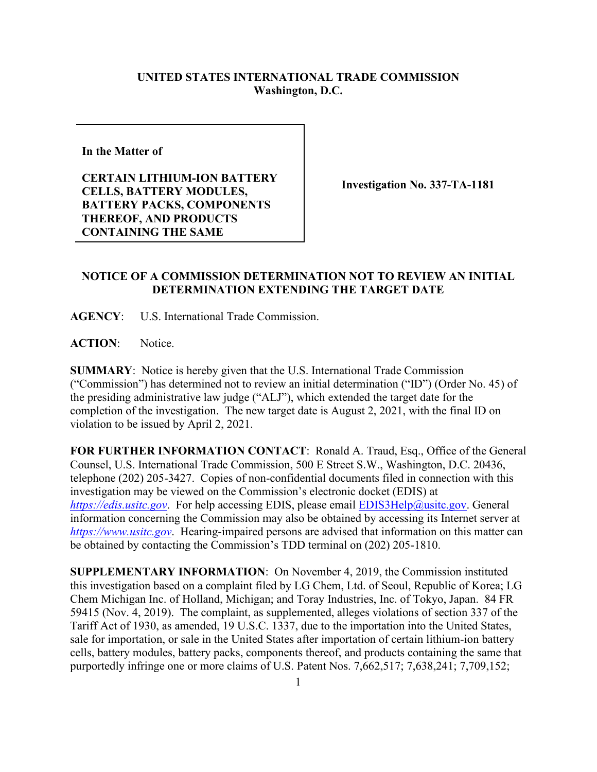## **UNITED STATES INTERNATIONAL TRADE COMMISSION Washington, D.C.**

**In the Matter of** 

**CERTAIN LITHIUM-ION BATTERY CELLS, BATTERY MODULES, BATTERY PACKS, COMPONENTS THEREOF, AND PRODUCTS CONTAINING THE SAME**

**Investigation No. 337-TA-1181**

## **NOTICE OF A COMMISSION DETERMINATION NOT TO REVIEW AN INITIAL DETERMINATION EXTENDING THE TARGET DATE**

**AGENCY**: U.S. International Trade Commission.

**ACTION**: Notice.

**SUMMARY**: Notice is hereby given that the U.S. International Trade Commission ("Commission") has determined not to review an initial determination ("ID") (Order No. 45) of the presiding administrative law judge ("ALJ"), which extended the target date for the completion of the investigation. The new target date is August 2, 2021, with the final ID on violation to be issued by April 2, 2021.

**FOR FURTHER INFORMATION CONTACT**: Ronald A. Traud, Esq., Office of the General Counsel, U.S. International Trade Commission, 500 E Street S.W., Washington, D.C. 20436, telephone (202) 205-3427. Copies of non-confidential documents filed in connection with this investigation may be viewed on the Commission's electronic docket (EDIS) at *[https://edis.usitc.gov](https://edis.usitc.gov/)*. For help accessing EDIS, please email [EDIS3Help@usitc.gov.](mailto:EDIS3Help@usitc.gov) General information concerning the Commission may also be obtained by accessing its Internet server at *[https://www.usitc.gov](https://www.usitc.gov/)*. Hearing-impaired persons are advised that information on this matter can be obtained by contacting the Commission's TDD terminal on (202) 205-1810.

**SUPPLEMENTARY INFORMATION**: On November 4, 2019, the Commission instituted this investigation based on a complaint filed by LG Chem, Ltd. of Seoul, Republic of Korea; LG Chem Michigan Inc. of Holland, Michigan; and Toray Industries, Inc. of Tokyo, Japan. 84 FR 59415 (Nov. 4, 2019). The complaint, as supplemented, alleges violations of section 337 of the Tariff Act of 1930, as amended, 19 U.S.C. 1337, due to the importation into the United States, sale for importation, or sale in the United States after importation of certain lithium-ion battery cells, battery modules, battery packs, components thereof, and products containing the same that purportedly infringe one or more claims of U.S. Patent Nos. 7,662,517; 7,638,241; 7,709,152;